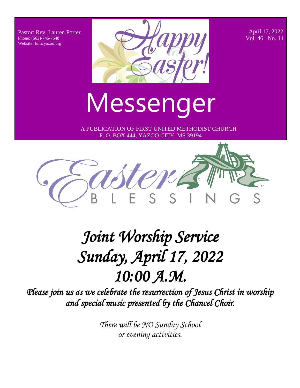Pastor: Rev. Lauren Porter Phone: (662)-746-7648 Website: fumcyazoo.org



 April 17, 2022 Vol. 46 No. 14

Messenger

 A PUBLICATION OF FIRST UNITED METHODIST CHURCH P. O. BOX 444, YAZOO CITY, MS 39194



# *Joint Worship Service Sunday, April 17, 2022 10:00 A.M.*

*Please join us as we celebrate the resurrection of Jesus Christ in worship and special music presented by the Chancel Choir*.

> *There will be NO Sunday School or evening activities.*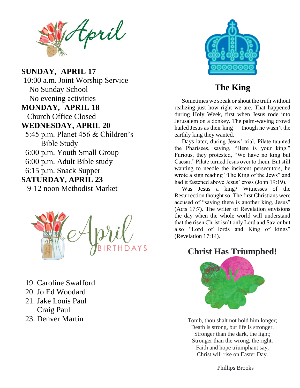tpril

**Pastor: Rev. APRIL 20**<br>
Privation on a dor<br>
Privation on a dor  $\begin{bmatrix}\n \bullet & 16 \\
 \bullet & 16\n \end{bmatrix}$ No evening activities<br>MONDAN APPH 19 Church Office Closed **SUNDAY***,* **APRIL 17** 10:00 a.m. Joint Worship Service No Sunday School **MONDAY***,* **APRIL 18**

- 5:45 p.m. Planet 456 & Children's Bible Study
	- 6:00 p.m. Youth Small Group
	- 6:00 p.m. Adult Bible study
	- 6:15 p.m. Snack Supper

#### **SATURDAY, APRIL 23**

9-12 noon Methodist Market



- 19. Caroline Swafford
- 20. Jo Ed Woodard
- 21. Jake Louis Paul Craig Paul
- 23. Denver Martin



#### **The King**

hailed Jesus as their king — though he wasn't the Sometimes we speak or shout the truth without realizing just how right we are. That happened during Holy Week, first when Jesus rode into Jerusalem on a donkey. The palm-waving crowd earthly king they wanted.

 Days later, during Jesus' trial, Pilate taunted the Pharisees, saying, "Here is your king." Furious, they protested, "We have no king but Caesar." Pilate turned Jesus over to them. But still wanting to needle the insistent persecutors, he wrote a sign reading "The King of the Jews" and had it fastened above Jesus' cross (John 19:19).

 Was Jesus a king? Witnesses of the Resurrection thought so. The first Christians were accused of "saying there is another king, Jesus" (Acts 17:7). The writer of Revelation envisions the day when the whole world will understand that the risen Christ isn't only Lord and Savior but also "Lord of lords and King of kings" (Revelation 17:14).

### **Christ Has Triumphed!**



Tomb, thou shalt not hold him longer; Death is strong, but life is stronger. Stronger than the dark, the light; Stronger than the wrong, the right. Faith and hope triumphant say, Christ will rise on Easter Day.

—Phillips Brooks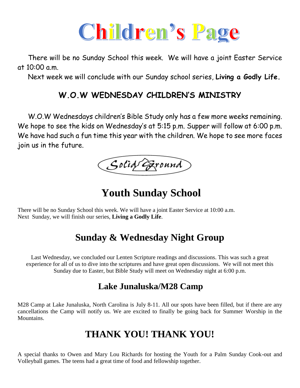

 There will be no Sunday School this week. We will have a joint Easter Service at  $10:00$  a.m.

Next week we will conclude with our Sunday school series, **Living a Godly Life.**

#### **W.O.W WEDNESDAY CHILDREN'S MINISTRY**

 W.O.W Wednesdays children's Bible Study only has a few more weeks remaining. We hope to see the kids on Wednesday's at 5:15 p.m. Supper will follow at 6:00 p.m. We have had such a fun time this year with the children. We hope to see more faces join us in the future.

Solid Ground

**Youth Sunday School**

There will be no Sunday School this week. We will have a joint Easter Service at 10:00 a.m. Next Sunday, we will finish our series, **Living a Godly Life**.

# **Sunday & Wednesday Night Group**

Last Wednesday, we concluded our Lenten Scripture readings and discussions. This was such a great experience for all of us to dive into the scriptures and have great open discussions. We will not meet this Sunday due to Easter, but Bible Study will meet on Wednesday night at 6:00 p.m.

### **Lake Junaluska/M28 Camp**

M28 Camp at Lake Junaluska, North Carolina is July 8-11. All our spots have been filled, but if there are any cancellations the Camp will notify us. We are excited to finally be going back for Summer Worship in the Mountains.

# **THANK YOU! THANK YOU!**

A special thanks to Owen and Mary Lou Richards for hosting the Youth for a Palm Sunday Cook-out and Volleyball games. The teens had a great time of food and fellowship together.